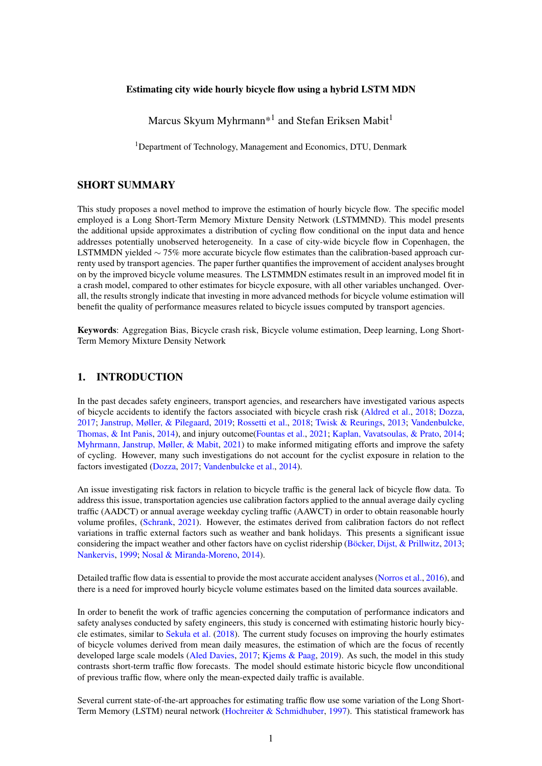#### Estimating city wide hourly bicycle flow using a hybrid LSTM MDN

Marcus Skyum Myhrmann $^{*1}$  and Stefan Eriksen Mabit $^1$ 

<sup>1</sup>Department of Technology, Management and Economics, DTU, Denmark

# SHORT SUMMARY

This study proposes a novel method to improve the estimation of hourly bicycle flow. The specific model employed is a Long Short-Term Memory Mixture Density Network (LSTMMND). This model presents the additional upside approximates a distribution of cycling flow conditional on the input data and hence addresses potentially unobserved heterogeneity. In a case of city-wide bicycle flow in Copenhagen, the LSTMMDN yielded ∼ 75% more accurate bicycle flow estimates than the calibration-based approach currenty used by transport agencies. The paper further quantifies the improvement of accident analyses brought on by the improved bicycle volume measures. The LSTMMDN estimates result in an improved model fit in a crash model, compared to other estimates for bicycle exposure, with all other variables unchanged. Overall, the results strongly indicate that investing in more advanced methods for bicycle volume estimation will benefit the quality of performance measures related to bicycle issues computed by transport agencies.

Keywords: Aggregation Bias, Bicycle crash risk, Bicycle volume estimation, Deep learning, Long Short-Term Memory Mixture Density Network

#### 1. INTRODUCTION

In the past decades safety engineers, transport agencies, and researchers have investigated various aspects of bicycle accidents to identify the factors associated with bicycle crash risk [\(Aldred et al.,](#page-7-0) [2018;](#page-7-0) [Dozza,](#page-8-0) [2017;](#page-8-0) [Janstrup, Møller, & Pilegaard,](#page-8-1) [2019;](#page-8-1) [Rossetti et al.,](#page-9-0) [2018;](#page-9-0) [Twisk & Reurings,](#page-9-1) [2013;](#page-9-1) [Vandenbulcke,](#page-9-2) [Thomas, & Int Panis,](#page-9-2) [2014\)](#page-9-2), and injury outcome[\(Fountas et al.,](#page-8-2) [2021;](#page-8-2) [Kaplan, Vavatsoulas, & Prato,](#page-8-3) [2014;](#page-8-3) [Myhrmann, Janstrup, Møller, & Mabit,](#page-9-3) [2021\)](#page-9-3) to make informed mitigating efforts and improve the safety of cycling. However, many such investigations do not account for the cyclist exposure in relation to the factors investigated [\(Dozza,](#page-8-0) [2017;](#page-8-0) [Vandenbulcke et al.,](#page-9-2) [2014\)](#page-9-2).

An issue investigating risk factors in relation to bicycle traffic is the general lack of bicycle flow data. To address this issue, transportation agencies use calibration factors applied to the annual average daily cycling traffic (AADCT) or annual average weekday cycling traffic (AAWCT) in order to obtain reasonable hourly volume profiles, [\(Schrank,](#page-9-4) [2021\)](#page-9-4). However, the estimates derived from calibration factors do not reflect variations in traffic external factors such as weather and bank holidays. This presents a significant issue considering the impact weather and other factors have on cyclist ridership [\(Böcker, Dijst, & Prillwitz,](#page-8-4) [2013;](#page-8-4) [Nankervis,](#page-9-5) [1999;](#page-9-5) [Nosal & Miranda-Moreno,](#page-9-6) [2014\)](#page-9-6).

Detailed traffic flow data is essential to provide the most accurate accident analyses [\(Norros et al.,](#page-9-7) [2016\)](#page-9-7), and there is a need for improved hourly bicycle volume estimates based on the limited data sources available.

In order to benefit the work of traffic agencies concerning the computation of performance indicators and safety analyses conducted by safety engineers, this study is concerned with estimating historic hourly bicycle estimates, similar to [Sekuła et al.](#page-9-8) [\(2018\)](#page-9-8). The current study focuses on improving the hourly estimates of bicycle volumes derived from mean daily measures, the estimation of which are the focus of recently developed large scale models [\(Aled Davies,](#page-8-5) [2017;](#page-8-5) [Kjems & Paag,](#page-9-9) [2019\)](#page-9-9). As such, the model in this study contrasts short-term traffic flow forecasts. The model should estimate historic bicycle flow unconditional of previous traffic flow, where only the mean-expected daily traffic is available.

Several current state-of-the-art approaches for estimating traffic flow use some variation of the Long Short-Term Memory (LSTM) neural network [\(Hochreiter & Schmidhuber,](#page-8-6) [1997\)](#page-8-6). This statistical framework has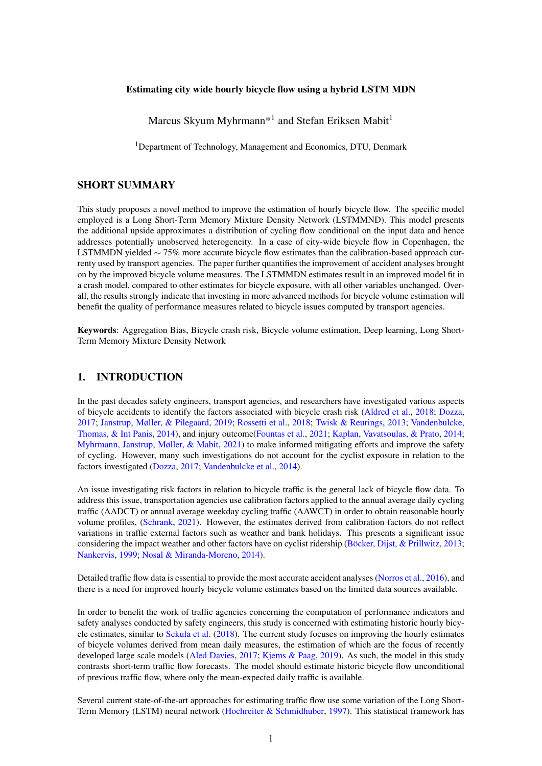been adopted in many recent studies forecasting short-term traffic states/flow [\(Chen et al.,](#page-8-7) [2016;](#page-8-7) [Cui et al.,](#page-8-8) [2020;](#page-8-8) [Duan, Lv, & Wang,](#page-8-9) [2016;](#page-8-9) [Ma et al.,](#page-9-10) [2015;](#page-9-10) [Zhao et al.,](#page-9-11) [2017\)](#page-9-11).

To overcome the shortcomings of the calibration-based method, this study explores the use of a novel neural network approach to estimating hourly bicycle volumes conditional on weather conditions, temporal effects and road conditions. The method is a hybrid of an LSTM and a Mixture Density Network [\(Bishop,](#page-8-10) [1994\)](#page-8-10). This hybrid introduces a Gaussian mixture model extension to the traditional LSTM, enabling the model to estimate a conditional bicycle flow distribution in contrast to the traditional conditional mean estimation. Furthermore, the LSTMMDN improves the estimation of the hourly bicycle volumes by treating them as random draws from a distribution, thus introducing variation across the network even on measurably similar roads. Finally, we illustrate how the improved bicycle flow estimates can improve accident analyses conducted to create a safer cycling environment.

#### 2. METHODOLOGY

In this section we describe the LSTMMDN framework used to derive the conditional bicycle flow distribution for this study along with the specific setup used in the investigation of the Copenhagen use-case.

#### *LSTMMDN*

The LSTMMDN is variation of the classical MDN presented in [Bishop](#page-8-10) [\(1994\)](#page-8-10), relying on an LSTM [\(Hochreiter & Schmidhuber,](#page-8-6) [1997\)](#page-8-6) to estimate the mean, average and mixture coefficient, conditional on the input data *X* and a Gaussian Mixture Model (GMM) output, which is used to approximate the citywide bicycle flow distribution. The conditional density computed in the output layer of the LSTMMDN is described in Equation [\(1\)](#page-1-0)

<span id="page-1-0"></span>
$$
p(y|X) = \sum_{i=1}^{A} \alpha_i(X) \frac{1}{v_i(x)^{1/2}} e^{-\frac{(t-\mu_i(x))^2}{2v_i(x)^2}}
$$
(1)

where *A* is the number of mixture components,  $\alpha_i(X)$  are the mixing coefficients dependent on the input data,  $\mu_i(x)$  is the centre of the kernel, i.e. the conditional average, and  $v_i(x)$  the associated variance. The benefit of the Mixture Density type Network for estimating city-wide hourly bicycle flow is derived from it approximating a conditional density function for the hourly bicycle flow. This allows for bicycle flow estimates to vary across different road sections, even in under equal measurable conditions, as all estimates are treated as draws from the conditional density function. This further addresses unobserved heterogeneity in hourly bicycle flow estimates.

Substituting the artificial neural network (ANN) in the traditional MDN proposed in [Bishop](#page-8-10) [\(1994\)](#page-8-10) is motivated by the LSTMs superior capability of handling nonlinear time series problems [\(Hochreiter & Schmid](#page-8-6)[huber,](#page-8-6) [1997\)](#page-8-6). The LSTM learns to represent temporal data by introducing a memory cell and sub-processes, referred to as gates. There are three such gates in the LSTM cell: the input gate, the forget gate, and the output gate. The gates each handle different tasks, involving what information to keep from the previous cell state, what new input to consider, and which to include in the cell state. In Figure [1](#page-2-0) there is a visual illustration of the LSTM cell layout, and the computations performed in the LSTM cell for each time step in the temporal sequence are shown in Equations  $(2)$  to  $(7)$ .

<span id="page-1-1"></span>
$$
f_t = \sigma(W_{f_X}X_t + W_{fh}h_{t-1} + b_f)
$$
\n<sup>(2)</sup>

$$
i_t = \sigma(W_{ix}x_t + W_{ih}h_{t-1} + b_i)
$$
\n(3)

$$
\tilde{C}_t = \tanh(W_{Cx}x_t + W_{Ch}h_{t-1} + b_C) \tag{4}
$$

$$
C_t = f_t \times C_{t-1} + i_t \times \tilde{C}_t \tag{5}
$$

<span id="page-1-2"></span>
$$
o_t = \sigma(W_{ox}x_t + W_{oh}h_{t-1} + b_o)
$$
\n<sup>(6)</sup>

$$
h_t = \tanh(C_t) \times o_t \tag{7}
$$

<span id="page-1-3"></span><sup>1</sup>https://upload.wikimedia.org/wikipedia/commons/3/3b/The\_LSTM\_cell.png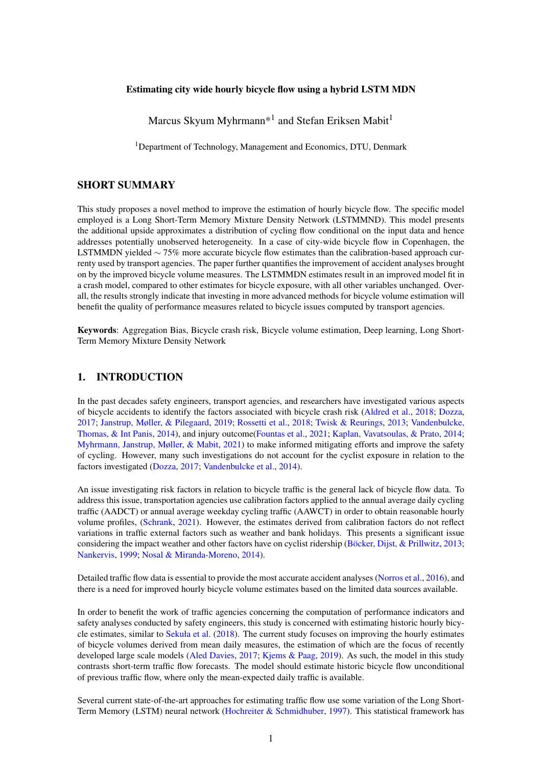<span id="page-2-0"></span>

# Figure [1](#page-1-3): Graphical illustration of LSTM cell structure $^{\rm l}$ : Orange squares mark layers with respective activation functions, yellow circles mark point wise operation, where x and + icons indicate respective element-wise multiplication and addition of tensors in the LSTM cell.

Here  $\sigma(\cdot)$  and tanh(·) are the respective activation functions,  $W_{fx}$ ,  $W_{fy}$ ,  $W_{fy}$ ,  $W_{\alpha}$ ,  $W_{\alpha}$ ,  $W_{\alpha}$  and  $W_{Ch}$  are the weight matrices of the respective gates  $f_t$ ,  $i_t$ ,  $o_t$  and the memory cell  $C_t$ , in the LSTM cell.  $b_f$ ,  $b_i$ ,  $b_o$  and *b<sup>C</sup>* are intercept/bias terms of the respective gates, and *h<sup>t</sup>* represents the hidden state at the time step *t*.

The LSTMMDN is estimated using back-propagation [\(Hastie, Tibshirani, & Friedman,](#page-8-11) [2009\)](#page-8-11) in order to minimise the negative log-likelihood loss function in Equation [\(8\)](#page-2-1).

<span id="page-2-1"></span>
$$
\log \mathcal{L}(\Theta) = \frac{1}{N} \sum_{j}^{N} -\ln\{\sum_{i=1}^{A} \alpha_i(X_j) \phi_i(y_j|X_j)\}
$$
(8)

<span id="page-2-2"></span>

*Model configuration*



A visualisation of the LSTMMDN applied in this study is shown in Figure [2.](#page-2-2) It is configured using the activation functions described in Equations [\(2\)](#page-1-1) to [\(7\)](#page-1-2), various setups of *k* hidden neurons in each gate, and an internal dropout rate of 20% dropout in the LSTM cell [\(Srivastava et al.,](#page-9-12) [2014\)](#page-9-12). Meanwhile, we use a linear  $a(x) = x$  in the output layer. The Mixture output layer itself we set up to consist of *A* mixtures, thus receiving input from  $A \times 3$  nodes from the networks output layer shown in Figure [2.](#page-2-2) Finally, model estimation/training is done using the Adaptive Moment Estimation (Adam) algorithm [\(Kingma & Ba,](#page-9-13) [2015\)](#page-9-13), using a training data set comprised of 70% of the total data. To avoid over-fitting the model, we implement an early stopping criteria such that the iterative optimisation of the model does not improve over  $L = 100$ iterations when evaluated on a validation set comprised of 10% of the total data, not in the training data.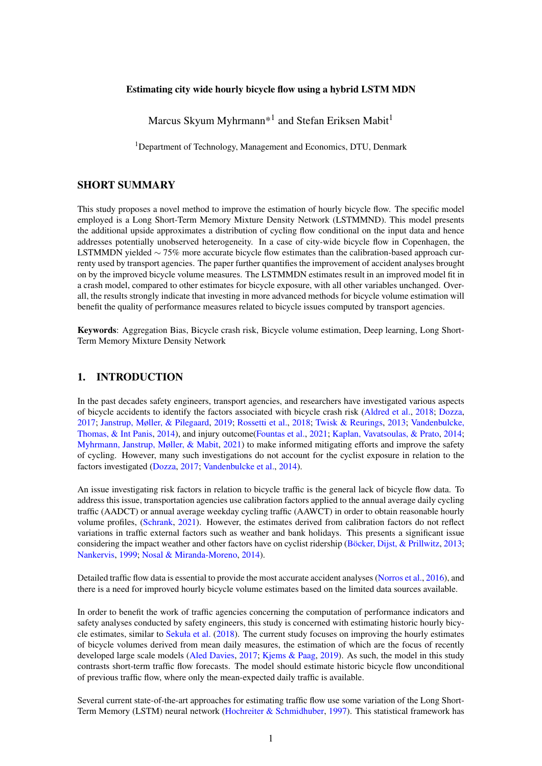## *Minor headings*

New paragraphs are not indented, but are preceded by a line of space. Also, please avoid using footnotes or splitting tables over two (or more) pages.

# 3. RESULTS

#### *Data and experimental setup*

The case studied in this paper, is that of bicycle flow in Copenhagen in the period 2017-2020. The LSTM-MDN is trained and evaluated using aggregated hourly bicycle volumes reported from bicycle monitoring stations in Copenhagen from 2017-2020, weather data provided by the Danish Meteorological Institute (DMI) and information on the Danish bank holidays. A total of 37 bicycle monitoring stations were active in the period. These are marked by the blue dots in Figure [3.](#page-4-0) The 37 stations showed considerable variation in active monitoring days, ranging from 9-731 days, with the median number of active days being 40. Overall, a total of 64,664 hourly bicycle volumes were recorded in the period. For each year, for each monitoring station, and Annual Average Weekday Cycling Traffic estimate is included in the data reports.

DMI weather data for Copenhagen in the period 2017-2020 was recorded at the main weather station located at the green dot in Figure [3](#page-4-0) and obtained using their Open Data API [\(DMI,](#page-8-12) [2021\)](#page-8-12). The variables considered in the model are 10-minute averages of the air temperature, pressure, wind speed, wind gusts, wind direction, precipitation levels, visibility and snow volume.

Finally, we include temporal data such as hour of the day, day of the week, week of the year, and whether days are public holidays, as this would be assumed to strongly influence cyclist ridership.

In total, the data consist of 64,664 observations of hourly bicycle volumes and  $\approx$  388,000 weather and temporal measurements at 10-minute intervals. The hourly aggregated bicycle volumes reported at each station are used as response variables to train the model, while the AAWCT at the monitoring station, 10 minute weather data and holiday status of a day are used as predictors. The 10-minute interval predictors  $x_t$  are grouped such that a sequence of six 10-minute interval observations  $x_t$  are paired with the matching response (i.e. the accumulated bicycle volume of the hour) as shown below.

$$
y_{T}(\boldsymbol{X}_{T}): \quad \boldsymbol{X}_{t} = \begin{pmatrix} \boldsymbol{x}_{t1} \\ \boldsymbol{x}_{t2} \\ \boldsymbol{x}_{t3} \\ \boldsymbol{x}_{t4} \\ \boldsymbol{x}_{t5} \\ \boldsymbol{x}_{t6} \end{pmatrix} = \begin{pmatrix} (x_{1,11}, x_{2,11}, ..., x_{D,11}) \\ (x_{1,12}, x_{2,12}, ..., x_{D,12}) \\ (x_{1,13}, x_{2,13}, ..., x_{D,13}) \\ (x_{1,14}, x_{2,14}, ..., x_{D,15}) \\ (x_{1,15}, x_{2,15}, ..., x_{D,15}) \\ (x_{1,16}, x_{2,16}, ..., x_{D,16}) \end{pmatrix}
$$
(9)

Where *t*1,*t*2,*t*3,*t*4,*t*5,*t*6 indicate the first to sixth 10-minute intervals of the input sequence matching the aggregated hourly cycling volume, *T* indicates the full hour considered, and *D* is the number of predictors used.

## *Bicycle flow estimation*

We assess the LSTMMDN's performance and compare it against 1) other neural network architectures and 2) the profiling method based on calibration factors currently employed by the Danish road directorate (the Seasonal Variation Factors, SVF), using a test data set containing the remaining 20% of the total data.

Four models for the estimation are being compared in various setups, the ANN setup proposed in [Sekuła](#page-9-8) [et al.](#page-9-8) [\(2018\)](#page-9-8), LSTMs and LSTMMDNs in various setups, and the SVF-based method used by the Danish government.

The performance measures are the average mse (*m*se) and the average negative log-likelihood (−log  $\hat{Z}$ ) of 100 posterior draws from the LSTMMDN, the mse of the conditional average ( $mse<sub>u</sub>$ , and the negative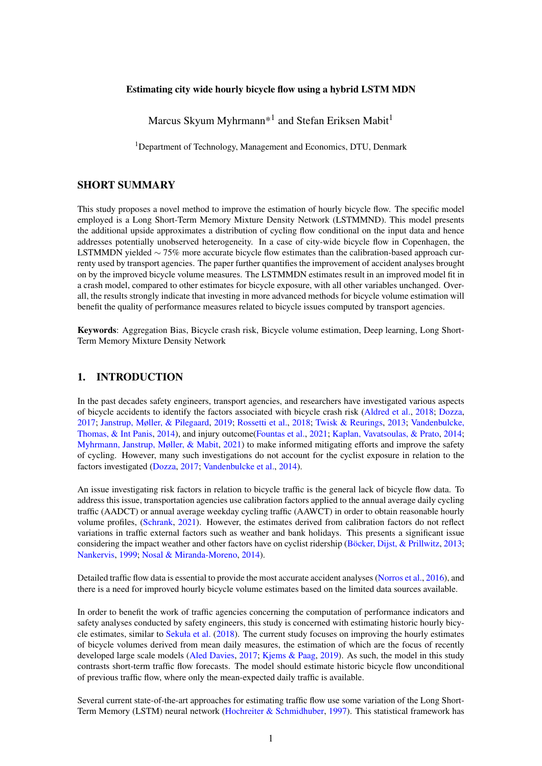<span id="page-4-0"></span>

Figure 3: Map of the measurement stations and weather stations in Copenhagen

log-likelihood of the conditional average and  $(-\log\mathcal{L}_u)$  for all models (also using 100 posterior draws from the LSTMMDN).

The results are shown in Table [1.](#page-4-1)

#### <span id="page-4-1"></span>Table 1: Goodness-of-fit measures related to various LSTMMDN structures and the SVFs, determined on the test data.

| model specification                  | $-\log \mathscr{L}_{\mu}$ | $-\log \hat{\mathscr{L}}$ | $MSE_u$ |                | $MSE$ Trainable parameters |
|--------------------------------------|---------------------------|---------------------------|---------|----------------|----------------------------|
| ANN: (Sekuła et al., 2018)           | 5772                      |                           | 0.108   |                | 162,025                    |
| LSTM: $L(k=32)$                      | 5851                      |                           | 0.129   |                | 6,561                      |
| LSTM: $L(k=64)$                      | 5792                      | $\overline{\phantom{a}}$  | 0.114   | $\sim$         | 21,313                     |
| LSTM: $L(k = 32) \times 6$           | 5832                      |                           | 0.128   | $\blacksquare$ | 6,733                      |
| LSTM: $L(k=64) \times 6$             | 5777                      |                           | 0.110   |                | 21,645                     |
| LSTMMDN: $L(k = 32) \times G(A = 6)$ | 5805                      | 5929                      | 0.119   | 0.226          | 7,122                      |
| LSTMMDN: $L(k = 32) \times G(A = 8)$ | 5811                      | 5933                      | 0.121   | 0.234          | 7,320                      |
| LSTMMDN: $L(k=64) \times G(A=6)$     | 5753                      | 5864                      | 0.102   | 0.195          | 22,418                     |
| LSTMMDN: $L(k=64) \times G(A=8)$     | 5777                      | 5872                      | 0.109   | 0.201          | 22,808                     |
| SVF method                           | 6570                      |                           | 0.377   |                |                            |
|                                      |                           |                           |         |                |                            |

As we see in Table [1,](#page-4-1) the LSTMMDNs outperforms its counterpart LSTMs in similar setups, i.e. the same number of LSTM nodes *k* and similar output dense layer. The best performing LSTMMDN setup has  $k = 64$  computational nodes in each LSTM gate and  $A = 6$  mixtures to describe the city-wide cycling flow distribution. This model also proves superior to the model the ANN model from [Sekuła et al.](#page-9-8) [\(2018\)](#page-9-8), while one having 1/8 of the estimable parameters. As seen in Table [1](#page-4-1) all LSTMMDNs are superior to the SVF calibration method employed by the Danish road directorate. Based on the *MSE*<sup>µ</sup> we see that that the best LSTMMDN produces  $\sim$  75% more accurate bicycle flow estimates than the calibration-based method.

In comparing the LSTMMDN and SVF calibration approach further, we only use the best LSTMMDN (LSTMMDN:  $L(k = 64) \times G(A = 6)$ ) and refer to this as the LSTMMDN.

## *LSTMMDN vs. SVF-calibration method*

We see the the hourly bicycle flow estimates from the LSTMMDN superiority over the SVF-calibration method when visualised in an estimated vs. actual flow heat plot in Figure [4.](#page-5-0) The estimates produces by the LSTMMDN are much closer to the  $45^\circ$  line establishing a  $x = y$  relation. Furthermore, it is evident that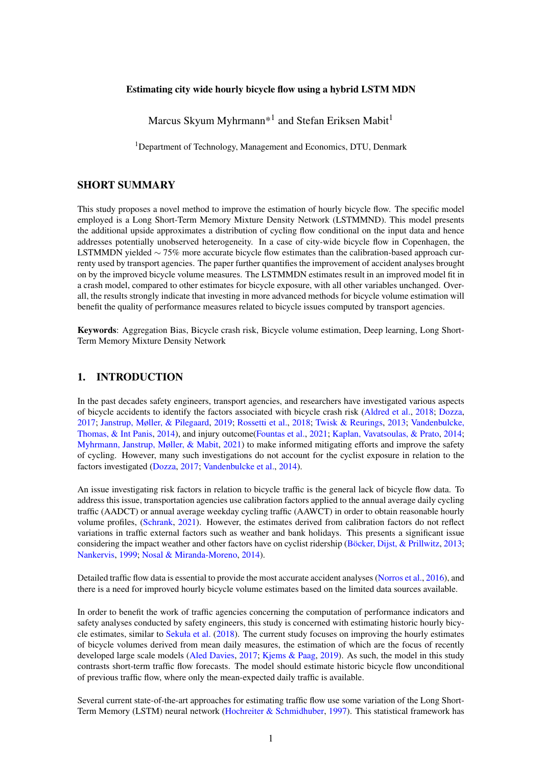<span id="page-5-0"></span>the calibration method has a tendency to overestimate the hourly bicycle flow.



Figure 4: Heat maps comparing the prediction accuracy of the SVF method (left) and the LSTMMDN method (right) based on the reserved test data set.

Lastly, we show a continuous week of standardised hourly bicycle flow estimates for an arbitrary counting station during an arbitrary week in Figure [5.](#page-5-1) Here we see the actual hourly bicycle flow (blue), the LSTMMDN estimates (orange) and the calibration-based estimates (green). As expected, the LSTMMDN estimates follow the observed bicycle flow during this period much more better than the calibration-based estimates, representing peak traffic and weekend traffic much better. The most significant difference between the LSTMMDN and the calibration-method in Figure [5](#page-5-1) is the discrepancy of the calibration method to estimate the traffic at weekends accurately.

<span id="page-5-1"></span>

Figure 5: Visualisation of the standardised bicycle flow over 148 continuously registered hours from a randomly picked counting station. Blue: Actual counts of bicyclists from random counting station, orange: LSTMMDN traffic counts estimation of the same road section and week and time: SVF based estimation of same road section and time.

#### *Impact of bicycle exposure on bicycle accident analyses*

Cyclist safety analysis is a topic that concerns transport agencies which could benefit significantly from improved bicycle flow estimates.

We exemplify this by estimating three separate city-wide bicycle crash frequency models for Copenhagen between 2017 and 2020, only varying the exposure variable. The considered exposure variables are, AAWCT, the calibration based hourly flow estimates or the LSTMMDN hourly flow estimates. To estimate the city-wide crash frequency, we use a simple Poisson regressions. While it is not the most advanced model type, it should be sufficient to illustrate the effect of various exposure variables.

We consider for the response variable the aggregated number of bicycle crashes in Copenhagen during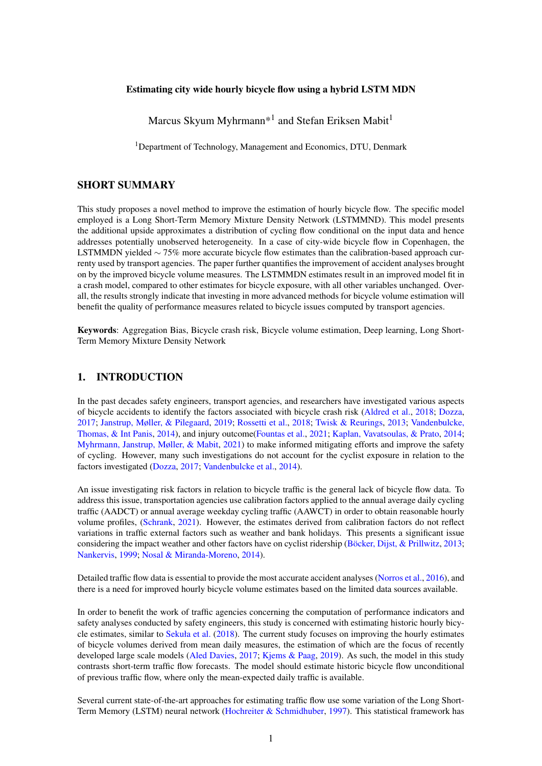any given hour in the period 2017-2020, and consider the following exogenous variables: Visibility [*m*], Temperature < 0 ◦*C*, Temperature > 20◦*C*, Morning peak hours (7-9 weekday), Afternoon peak (15-17 weekday), Wind speed < 5*m*/*s*, Wind speed > 9*m*/*s*, Precipitation (> 0*mm*), Bank holidays, Bicycle flow.

The cyclist exposure is estimated hourly at each of the counting stations in Figure [3](#page-4-0) given the AAWCT, weather and temporal information for the period 2017-2020, using respectively the calibration method and LSTMMDN. The estimates are then aggregated to approximate the city-wide cyclist exposure at any given hour. The AAWCT exposure is divided to approximate the annual average hourly cycling traffic.

<span id="page-6-0"></span>Due to missing observations in the weather data, the weather, and therefore bicycle flow estimates, in the period 2017-2020 becomes imbalanced with an over-representation of summer days. Therefore, stratified bootstrapping is performed to sample three full years of estimated bicycle flow and weather data from the four years of data, conditional on the year's month, day, and daytime. The three years bootstrap data includes 2104 bicycle crashes in 26,232 hours, meaning 0.08 accidents per hour. Summary statistics of the data used in the bicycle crash frequency model are shown in Table [2.](#page-6-0)

| Variable                      | Mean               |  |  |
|-------------------------------|--------------------|--|--|
| Visibility                    | 27,519 m           |  |  |
| Bank holiday                  | 0.034              |  |  |
| Exposure(LSTMMDN)             | 5430 cyclists/hour |  |  |
| Exposure(Exposure)            | 6051 cyclists/hour |  |  |
| Exposure(AAWCT)               | 6079 cyclists/hour |  |  |
| Morning Peak/Afternoon peak   | 0.089              |  |  |
| Temperature $< 0^{\circ} C$   | 0.032              |  |  |
| Temperature $> 20^{\circ}$ C  | 0.075              |  |  |
| Wind speed $\lt 5m/s$         | 0.102              |  |  |
| Wind speed $> 9m/s$           | 0.008              |  |  |
| Precipitation $> 0$ <i>mm</i> | 0.429              |  |  |

#### Table 2: Summary statistics of the data used in the Poisson model

The three models are estimated using Maximum Likelihood estimation, and the resulting parameter estimates and goodness of fit measures are shown in Table [3.](#page-6-1)

<span id="page-6-1"></span>

|                                 | Model 1 (AAWCT based exposure) |         | Model 2 (SVF-calibration based exposure) |         | Model 3 (LSTMMDN based exposure) |         |
|---------------------------------|--------------------------------|---------|------------------------------------------|---------|----------------------------------|---------|
| No. Obs                         | 26,232                         |         | 26,232                                   |         | 26,232                           |         |
| <b>Estimated parameters</b>     | 10                             |         | 10                                       |         | 10                               |         |
| log-likelihood                  | $-7,142$                       |         | $-6,874$                                 |         | $-6,740$                         |         |
| Deviance                        | 10,287                         |         | 9,750                                    |         | 9,483                            |         |
| $\chi^2$                        | 27,524                         |         | 27,704                                   |         | 29,810                           |         |
|                                 |                                |         |                                          |         |                                  |         |
|                                 | Parameter estimates            | p-value | Parameter estimates                      | p-value | Parameter estimates              | p-value |
| Variables                       |                                |         |                                          |         |                                  |         |
| Intercept                       | $-23.390$                      | < 0.001 | $-7.958$                                 | < 0.001 | $-10.740$                        | < 0.001 |
| Visibility (for one log change) | 0.071                          | 0.029   | $-0.068$                                 | 0.037   | $-0.062$                         | 0.055   |
| <b>Bank Holiday</b>             | $-0.857$                       | < 0.001 | $-0.809$                                 | < 0.001 | $-0.096$                         | 0.609   |
| log(Exposure)                   | 2.267                          | < 0.001 | 0.697                                    | < 0.001 | 1.006                            | < 0.001 |
| Morning peak                    | 1.098                          | < 0.001 | 0.210                                    | 0.002   | 0.247                            | < 0.001 |
| Afternoon peak                  | 1.194                          | 0.003   | 0.296                                    | < 0.001 | 0.284                            | < 0.001 |
| Temperature $< 0^{\circ} C$     | $-0.512$                       | < 0.001 | $-0.113$                                 | 0.519   | $-0.027$                         | 0.877   |
| Temperature $> 20^{\circ}C$     | 0.422                          | 0.774   | 0.075                                    | 0.270   | 0.224                            | 40.001  |
| Wind speed $<$ 5 <i>m/s</i>     | $-0.023$                       | 0.946   | 0.181                                    | 0.025   | 0.136                            | 0.090   |
| Wind speed $> 9m/s$             | $-0.018$                       | 0.001   | $-0.058$                                 | 0.824   | $-0.030$                         | 0.908   |
| Precipitation                   | 0.147                          | 0.001   | 0.095                                    | 0.031   | 0.124                            | 0.005   |

## Table 3: Estimates for the Poisson regressions with varying exposure variables (AAWCT, calibration based hourly cycling volume and LSTMMDN model based hourly cycling volume).

The goodness-of-fit measures clearly indicate that the model using LSTMMDN exposure estimates is the superior of the models. The resulting log-likelihood is 5.5% higher in Model 3 than in Model 1. Having only varied the exposure variable in the three models, this highlights that the exposure estimates used in models have a substantial impact on the conclusions drawn.

Furthermore, the estimates in Table [3](#page-6-1) reveal that conclusions regarding various variable impacts on the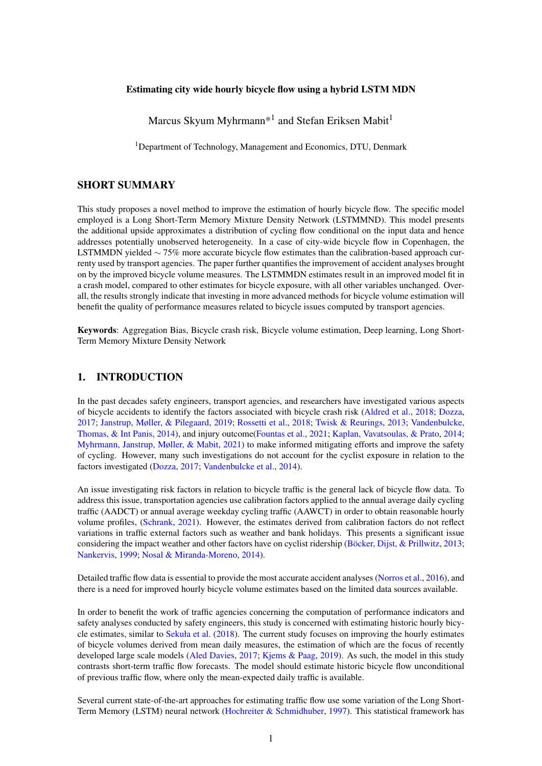bicycle crash frequency would vary depending on which of the three model variations is employed. For example both low temperatures and high wind speeds would lower the crash risk in Model 1, contrasting the findings of the other two models.

# 4. DISCUSSION AND CONCLUSIONS

The current approach used by transport agencies to estimate hourly bicycle traffic relies on calibration factors that do not to account for weather and other factors' impacts on cyclist ridership. This study aims to amend this issue, proposing a LSTMMDN model to estimate city-wide hourly bicycle volumes in Copenhagen conditional on the mean-daily traffic, weather and temporal effects.

The proposed approach significantly outperforms the calibration factor method. Conditional on the model setup, the LSTMMDN yields ∼ 75% more accurate estimates of the hourly bicycle volume in Copenhagen. Furthermore, the method introduces a framework that allows for variation in the bicycle volume estimates across the city network even under similar conditions and on measurably similar roads. This is achieved by the model approximating a conditional distribution for the hourly bicycle volume instead of only approximating the conditional average.

The LSTMMDN generated bicycle flow estimates were subsequently used to quantify the improvements that better exposure data can have on accident analyses. The results indicate that improving the accuracy of bicycle volume estimates will result in better crash risk models.

On a side-note, the crash model and the variables used for those models are very simplistic and quantify the impact that better bicycle volume estimates can have on the accident models that are crucial to making informed decisions to increase cycling safety. Many studies investigate the factors related to bicycle crashes and the outcomes thereof [\(Aldred et al.,](#page-7-0) [2018;](#page-7-0) [Fountas et al.,](#page-8-2) [2021;](#page-8-2) [Janstrup et al.,](#page-8-1) [2019;](#page-8-1) [Kaplan & Prato,](#page-8-13) [2013;](#page-8-13) [Kim et al.,](#page-8-14) [2007;](#page-8-14) [Myhrmann et al.,](#page-9-3) [2021;](#page-9-3) [Schepers et al.,](#page-9-14) [2020\)](#page-9-14), and this study does not try to conduct a deep risk analysis of bicycle crashes. Nevertheless, the results of the three Poisson regressions indicate that the bicycle flow estimates affect the output. This result makes it plausible that the same would be the case in more advanced models. However, a definitive clarification would require an in-depth analysis and is the subject of future studies.

# *CONCLUSIONS*

Overall, the impact of better cyclist exposure estimates is non-negligible, as revealed in a simple-crash risk model comparison. The results revealed significant improvements by simply addressing the exposure estimates used in the model, with all other variables held constant. Also, the interpretation of variables changed in light of better exposure estimates hinting potentially at previously erroneous inference from crash risk analyses caused by the lack of decent exposure estimates. And considering the recent development of models to estimate daily cycling traffic in the city networks such as the Cynemon model for London and COMPASS in Copenhagen, the model proposed out this study should be a welcomed extension in order to optimally represent the hourly bicycle traffic conditional on the proposed mean-daily estimates and other external factors.

## ACKNOWLEDGEMENT

We thank Filipe Rodrigues and Mads Paulsen for valuable feedback on an earlier version of the paper process.

## **REFERENCES**

<span id="page-7-0"></span>Aldred, R., Goodman, A., Gulliver, J., & Woodcock, J. (2018, 8). Cycling injury risk in London: A case-control study exploring the impact of cycle volumes, motor vehicle volumes, and road characteristics including speed limits. *Accident Analysis & Prevention*, *117*, 75–84. Retrieved from [https://www.sciencedirect.com/science/article/](https://www.sciencedirect.com/science/article/pii/S0001457518301076?via%3Dihub)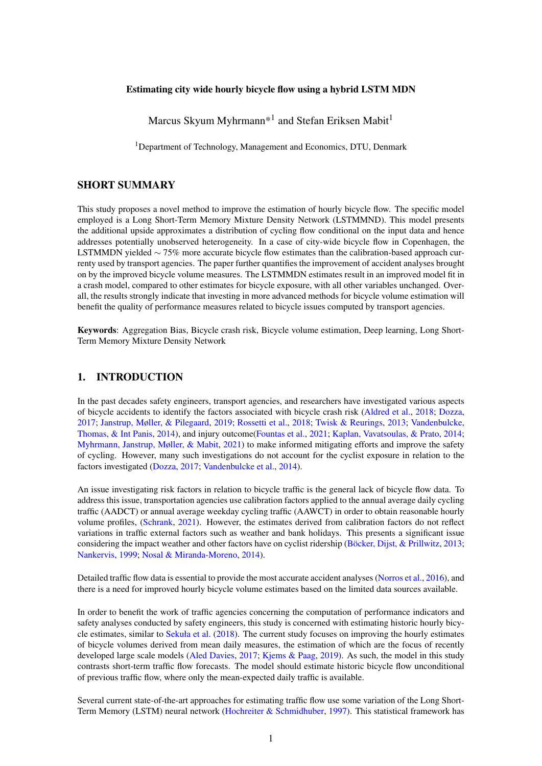[pii/S0001457518301076?via%3Dihub](https://www.sciencedirect.com/science/article/pii/S0001457518301076?via%3Dihub) doi: 10.1016/J.AAP.2018.03.003

- <span id="page-8-5"></span>Aled Davies. (2017). *Cynemon-Cycling Network Model for London Aled Davies-TfL Planning* (Tech. Rep.). Transport for London. Retrieved from [https://www.ucl.ac.uk/](https://www.ucl.ac.uk/transport/sites/transport/files/Davies_slides.pdf) [transport/sites/transport/files/Davies\\_slides.pdf](https://www.ucl.ac.uk/transport/sites/transport/files/Davies_slides.pdf)
- <span id="page-8-10"></span>Bishop, C. M. (1994). *Mixture Density Networks* (Tech. Rep.). Department of Computer Science and Applied Mathematics, Aston University. Retrieved from [http://www.ncrg.aston](http://www.ncrg.aston.ac.uk/) [.ac.uk/](http://www.ncrg.aston.ac.uk/)
- <span id="page-8-4"></span>Böcker, L., Dijst, M., & Prillwitz, J. (2013, 1). Impact of Everyday Weather on Individual Daily Travel Behaviours in Perspective: A Literature Review. *Transport Reviews*, *33*(1), 71–91. Retrieved from [http://www.tandfonline.com/doi/abs/10.1080/01441647](http://www.tandfonline.com/doi/abs/10.1080/01441647.2012.747114) [.2012.747114](http://www.tandfonline.com/doi/abs/10.1080/01441647.2012.747114) doi: 10.1080/01441647.2012.747114
- <span id="page-8-7"></span>Chen, Y. Y., Lv, Y., Li, Z., & Wang, F. Y. (2016). Long short-Term memory model for traffic congestion prediction with online open data. *IEEE Conference on Intelligent Transportation Systems, Proceedings, ITSC*, 132–137. doi: 10.1109/ITSC.2016.7795543
- <span id="page-8-8"></span>Cui, Z., Ke, R., Pu, Z., & Wang, Y. (2020). Stacked bidirectional and unidirectional LSTM recurrent neural network for forecasting network-wide traffic state with missing values. *Transportation Research Part C: Emerging Technologies*, *118*(March 2019), 102674. Retrieved from <https://doi.org/10.1016/j.trc.2020.102674> doi: 10.1016/j.trc.2020 .102674
- <span id="page-8-12"></span>DMI. (2021). *Danish Meteorological Institute - Open Data - DMI Open Data - Confluence.* Retrieved from [https://confluence.govcloud.dk/display/FDAPI/Danish+](https://confluence.govcloud.dk/display/FDAPI/Danish+Meteorological+Institute+-+Open+Data) [Meteorological+Institute+-+Open+Data](https://confluence.govcloud.dk/display/FDAPI/Danish+Meteorological+Institute+-+Open+Data)
- <span id="page-8-0"></span>Dozza, M. (2017, 8). Crash risk: How cycling flow can help explain crash data. *Accident Analysis & Prevention*, *105*, 21–29. Retrieved from [https://www.sciencedirect.com/](https://www.sciencedirect.com/science/article/pii/S0001457516301464) [science/article/pii/S0001457516301464](https://www.sciencedirect.com/science/article/pii/S0001457516301464) doi: 10.1016/J.AAP.2016.04.033
- <span id="page-8-9"></span>Duan, Y., Lv, Y., & Wang, F. Y. (2016). Travel time prediction with LSTM neural network. *IEEE Conference on Intelligent Transportation Systems, Proceedings, ITSC*, 1053–1058. doi: 10.1109/ITSC.2016.7795686
- <span id="page-8-2"></span>Fountas, G., Fonzone, A., Olowosegun, A., & McTigue, C. (2021, 12). Addressing unobserved heterogeneity in the analysis of bicycle crash injuries in Scotland: A correlated random parameters ordered probit approach with heterogeneity in means. *Analytic Methods in Accident Research*, *32*, 100181. doi: 10.1016/J.AMAR.2021.100181
- <span id="page-8-11"></span>Hastie, T., Tibshirani, R., & Friedman, J. (2009). Neural Networks. In *The elements of statistical learning data mining, inference, and prediction* (pp. 389–416). Retrieved from [http://link.springer.com/10.1007/978-0-387-84858-7\\_11](http://link.springer.com/10.1007/978-0-387-84858-7_11) doi: 10.1007/978-0  $-387-84858-7{\{\_{\!\!\{1\}}\}}11$
- <span id="page-8-6"></span>Hochreiter, S., & Schmidhuber, J. (1997, 11). Long Short-Term Memory. *Neural Computation*, *9*(8), 1735–1780. Retrieved from [https://www.mitpressjournals.org/doi/abs/10](https://www.mitpressjournals.org/doi/abs/10.1162/neco.1997.9.8.1735) [.1162/neco.1997.9.8.1735](https://www.mitpressjournals.org/doi/abs/10.1162/neco.1997.9.8.1735) doi: 10.1162/neco.1997.9.8.1735
- <span id="page-8-1"></span>Janstrup, K. H., Møller, M., & Pilegaard, N. (2019, 5). A clustering approach to integrate traffic safety in road maintenance prioritization. *Traffic Injury Prevention*, *20*(4), 442–448. Retrieved from [https://www.tandfonline.com/doi/full/10.1080/15389588.2019](https://www.tandfonline.com/doi/full/10.1080/15389588.2019.1580700) [.1580700](https://www.tandfonline.com/doi/full/10.1080/15389588.2019.1580700) doi: 10.1080/15389588.2019.1580700
- <span id="page-8-13"></span>Kaplan, S., & Prato, C. G. (2013). Cyclist-motorist crash patterns in Denmark: a latent class clustering approach. *Traffic injury prevention*, *14*(7), 725–733. doi: 10.1080/15389588 .2012.759654
- <span id="page-8-3"></span>Kaplan, S., Vavatsoulas, K., & Prato, C. G. (2014, 9). Aggravating and mitigating factors associated with cyclist injury severity in Denmark. *Journal of Safety Research*, *50*, 75–82. Retrieved from [https://www.sciencedirect.com/science/article/pii/](https://www.sciencedirect.com/science/article/pii/S0022437514000437?via%3Dihub) [S0022437514000437?via%3Dihub](https://www.sciencedirect.com/science/article/pii/S0022437514000437?via%3Dihub) doi: 10.1016/j.jsr.2014.03.012
- <span id="page-8-14"></span>Kim, J.-K., Kim, S., Ulfarsson, G. F., & Porrello, L. A. (2007, 3). Bicyclist injury severities in bicycle–motor vehicle accidents. *Accident Analysis & Prevention*, *39*(2), 238–251. Retrieved from [https://www.sciencedirect.com/science/article/pii/](https://www.sciencedirect.com/science/article/pii/S000145750600128X)